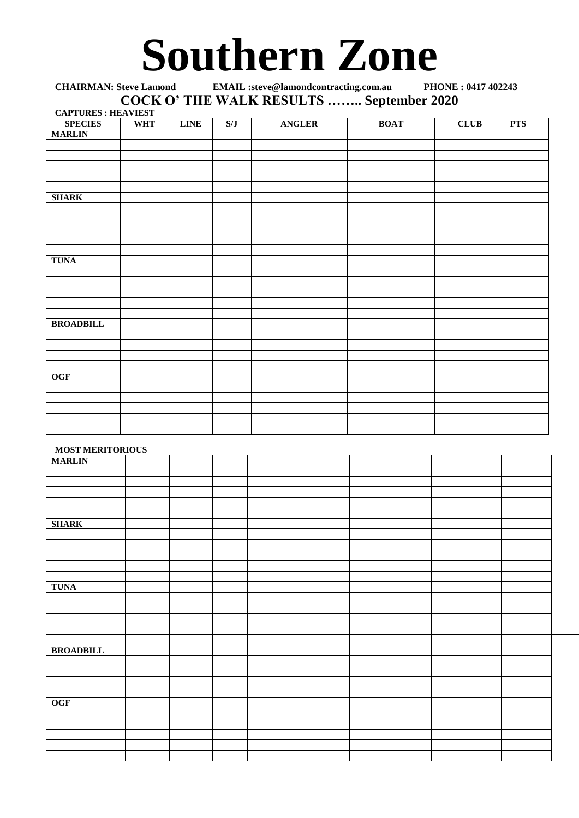# **Southern Zone**

**CHAIRMAN: Steve Lamond EMAIL :steve@lamondcontracting.com.au PHONE : 0417 402243 COCK O' THE WALK RESULTS …….. September 2020 CAPTURES : HEAVIEST**

| <b>SPECIES</b>   | <b>WHT</b> | <b>LINE</b> | S/J | <b>ANGLER</b> | <b>BOAT</b> | CLUB | <b>PTS</b> |
|------------------|------------|-------------|-----|---------------|-------------|------|------------|
| <b>MARLIN</b>    |            |             |     |               |             |      |            |
|                  |            |             |     |               |             |      |            |
|                  |            |             |     |               |             |      |            |
|                  |            |             |     |               |             |      |            |
|                  |            |             |     |               |             |      |            |
|                  |            |             |     |               |             |      |            |
| <b>SHARK</b>     |            |             |     |               |             |      |            |
|                  |            |             |     |               |             |      |            |
|                  |            |             |     |               |             |      |            |
|                  |            |             |     |               |             |      |            |
|                  |            |             |     |               |             |      |            |
|                  |            |             |     |               |             |      |            |
| <b>TUNA</b>      |            |             |     |               |             |      |            |
|                  |            |             |     |               |             |      |            |
|                  |            |             |     |               |             |      |            |
|                  |            |             |     |               |             |      |            |
|                  |            |             |     |               |             |      |            |
|                  |            |             |     |               |             |      |            |
| <b>BROADBILL</b> |            |             |     |               |             |      |            |
|                  |            |             |     |               |             |      |            |
|                  |            |             |     |               |             |      |            |
|                  |            |             |     |               |             |      |            |
|                  |            |             |     |               |             |      |            |
| <b>OGF</b>       |            |             |     |               |             |      |            |
|                  |            |             |     |               |             |      |            |
|                  |            |             |     |               |             |      |            |
|                  |            |             |     |               |             |      |            |
|                  |            |             |     |               |             |      |            |
|                  |            |             |     |               |             |      |            |

## **MOST MERITORIOUS**

| <b>MARLIN</b>    | ------ |  |  |  |
|------------------|--------|--|--|--|
|                  |        |  |  |  |
|                  |        |  |  |  |
|                  |        |  |  |  |
|                  |        |  |  |  |
|                  |        |  |  |  |
|                  |        |  |  |  |
| <b>SHARK</b>     |        |  |  |  |
|                  |        |  |  |  |
|                  |        |  |  |  |
|                  |        |  |  |  |
|                  |        |  |  |  |
|                  |        |  |  |  |
|                  |        |  |  |  |
| <b>TUNA</b>      |        |  |  |  |
|                  |        |  |  |  |
|                  |        |  |  |  |
|                  |        |  |  |  |
|                  |        |  |  |  |
|                  |        |  |  |  |
|                  |        |  |  |  |
| <b>BROADBILL</b> |        |  |  |  |
|                  |        |  |  |  |
|                  |        |  |  |  |
|                  |        |  |  |  |
|                  |        |  |  |  |
|                  |        |  |  |  |
| <b>OGF</b>       |        |  |  |  |
|                  |        |  |  |  |
|                  |        |  |  |  |
|                  |        |  |  |  |
|                  |        |  |  |  |
|                  |        |  |  |  |
|                  |        |  |  |  |